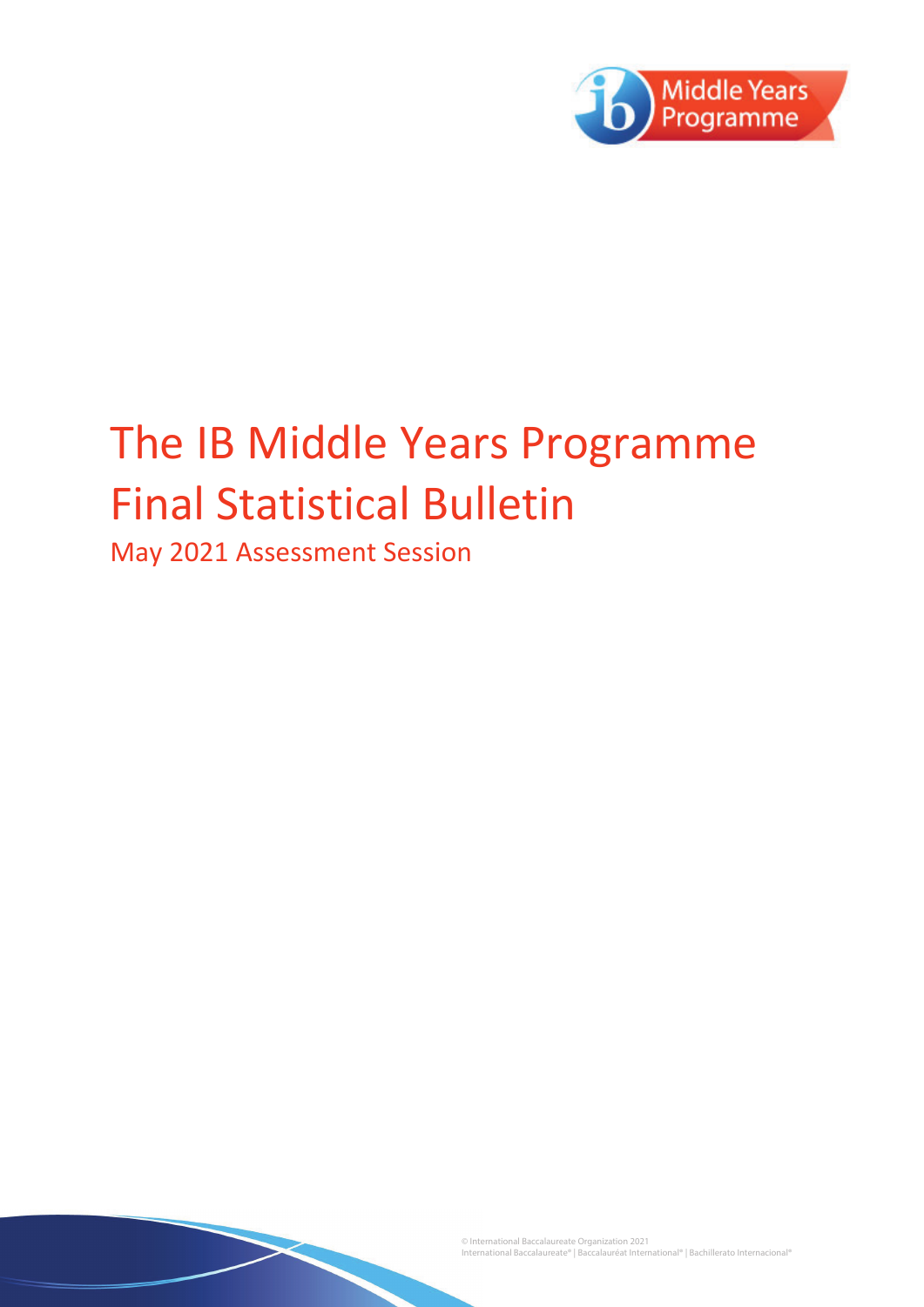

# The IB Middle Years Programme **Final Statistical Bulletin**

May 2021 Assessment Session

© International Baccalaureate Organization 2021<br>International Baccalaureate® | Baccalauréat International® | Bachillerato Internacional®<br>.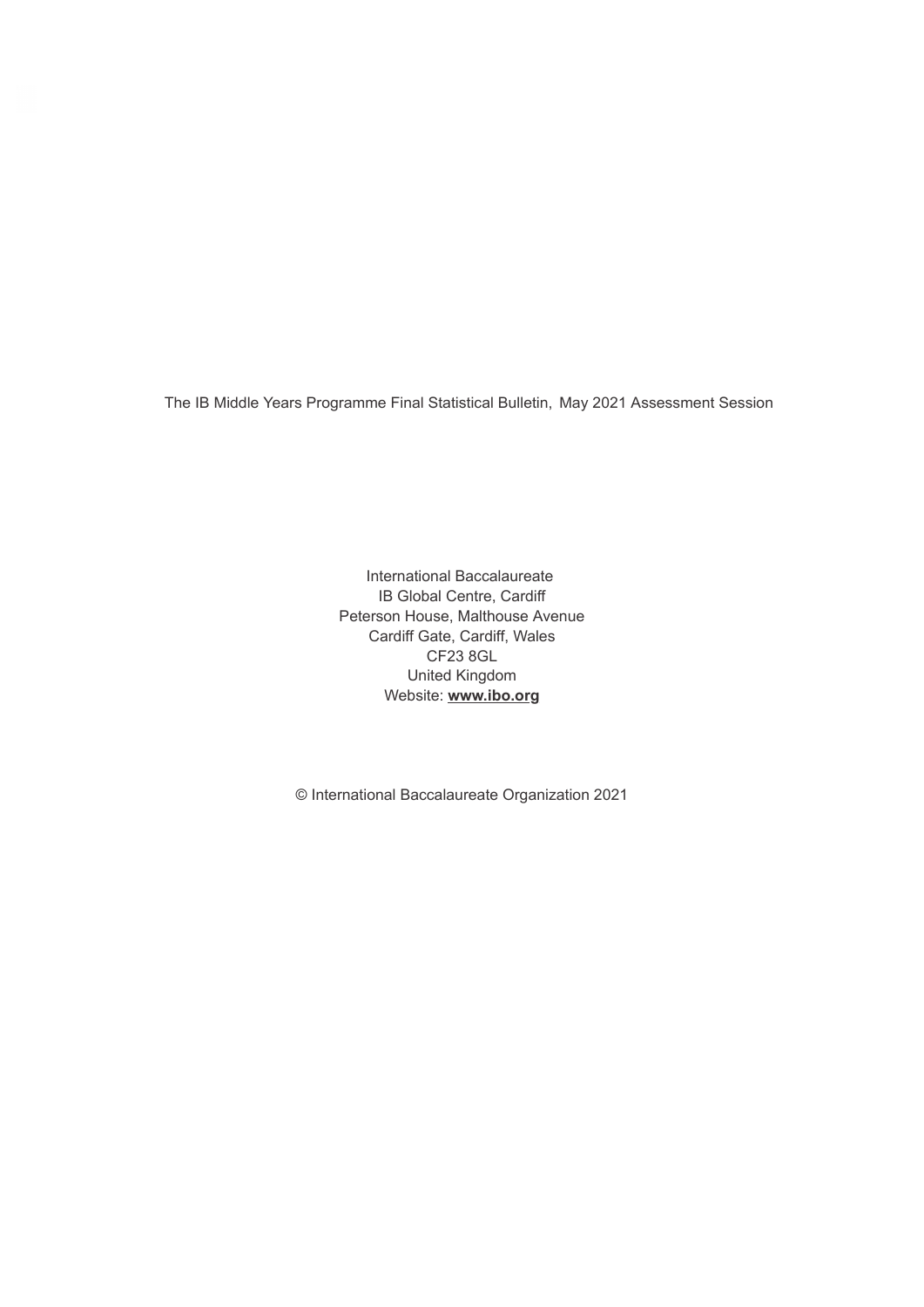The IB Middle Years Programme Final Statistical Bulletin, May 2021 Assessment Session

International Baccalaureate IB Global Centre, Cardiff Peterson House, Malthouse Avenue Cardiff Gate, Cardiff, Wales CF23 8GL United Kingdom Website: **www.ibo.org**

© International Baccalaureate Organization 2021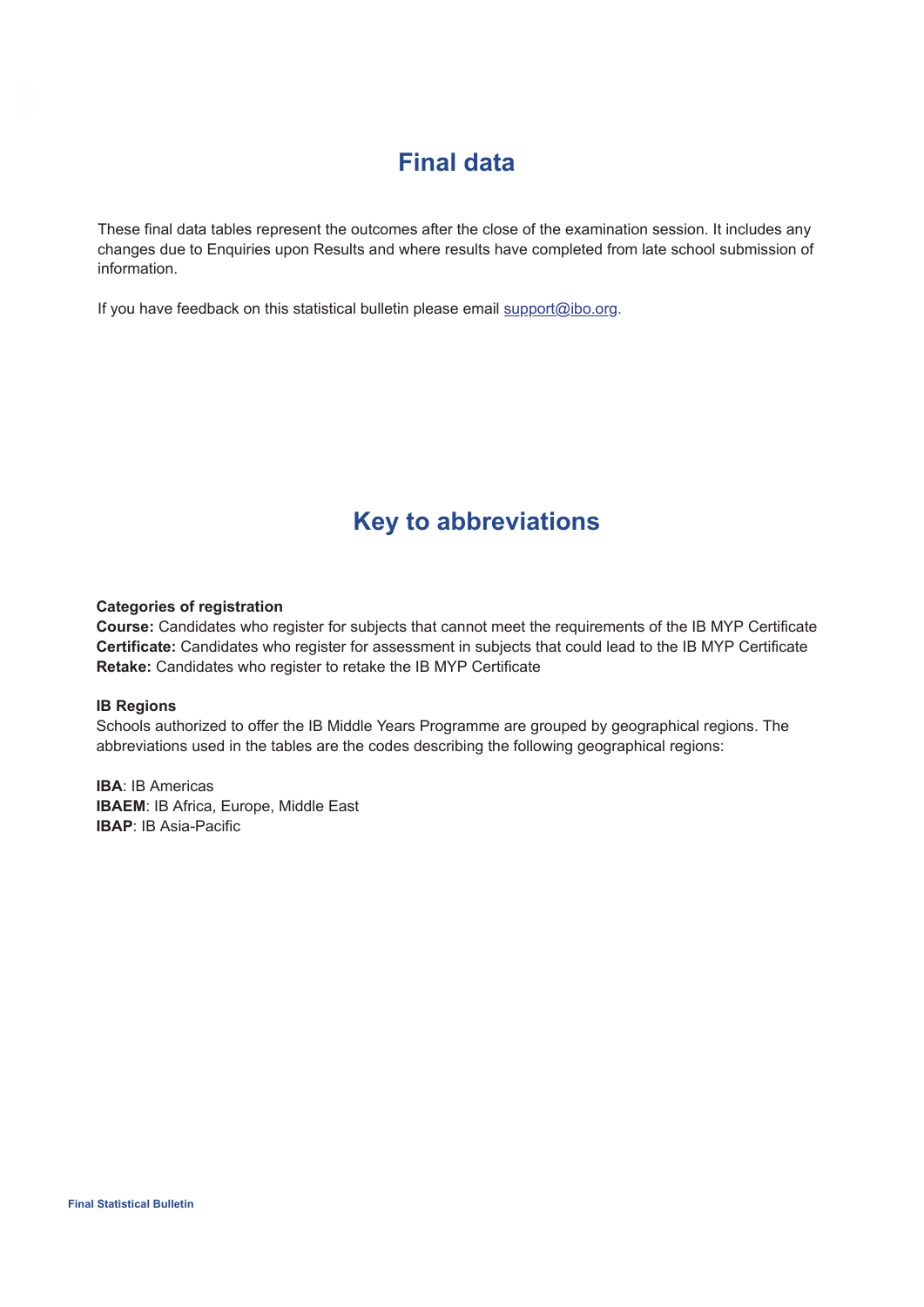## **Final data**

These final data tables represent the outcomes after the close of the examination session. It includes any changes due to Enquiries upon Results and where results have completed from late school submission of information.

If you have feedback on this statistical bulletin please email support@ibo.org.

## **Key to abbreviations**

#### **Categories of registration**

**Course:** Candidates who register for subjects that cannot meet the requirements of the IB MYP Certificate **Certificate:** Candidates who register for assessment in subjects that could lead to the IB MYP Certificate **Retake:** Candidates who register to retake the IB MYP Certificate

#### **IB Regions**

Schools authorized to offer the IB Middle Years Programme are grouped by geographical regions. The abbreviations used in the tables are the codes describing the following geographical regions:

**IBA**: IB Americas **IBAEM**: IB Africa, Europe, Middle East **IBAP**: IB Asia-Pacific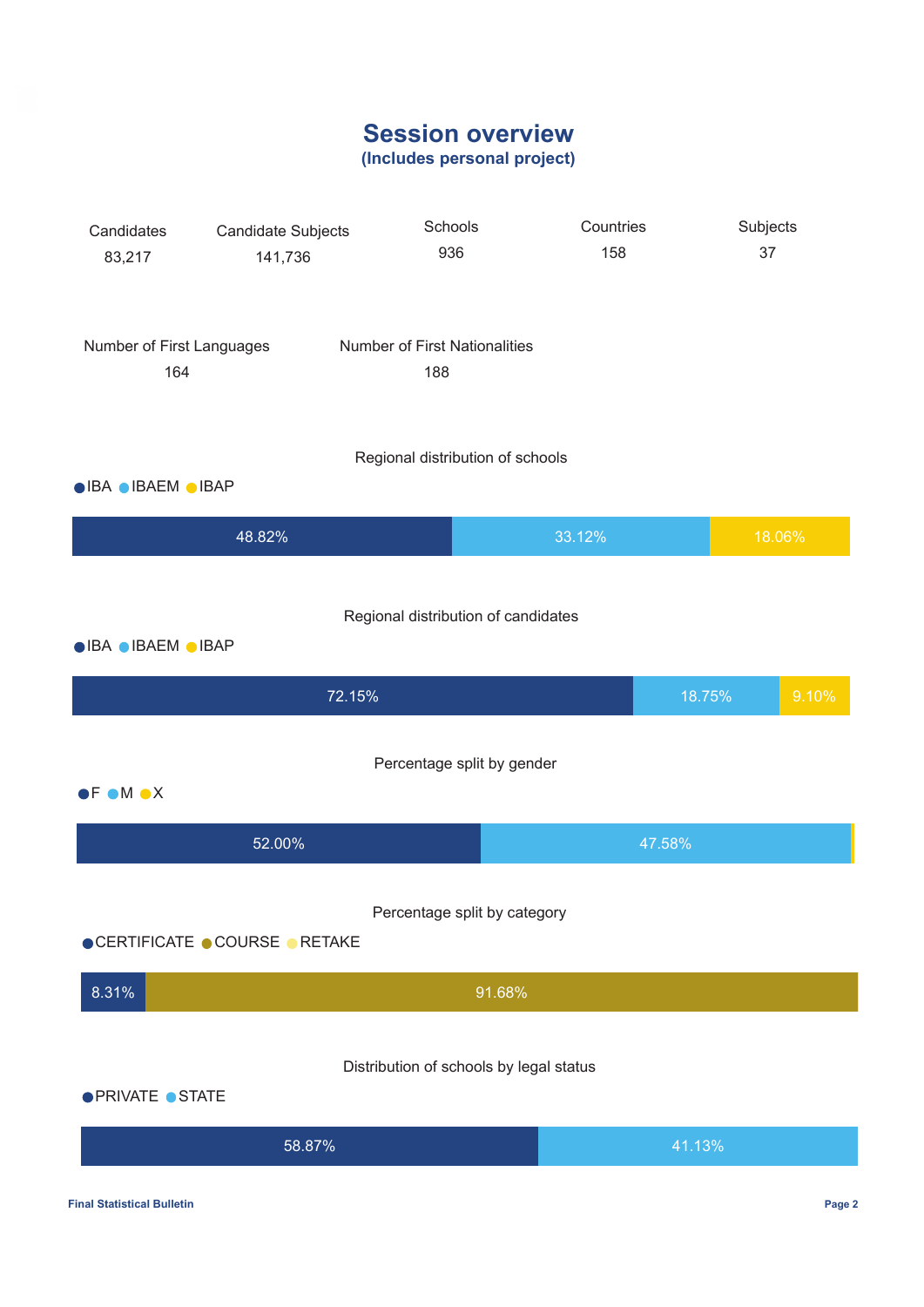## **Session overview**

**(Includes personal project)**

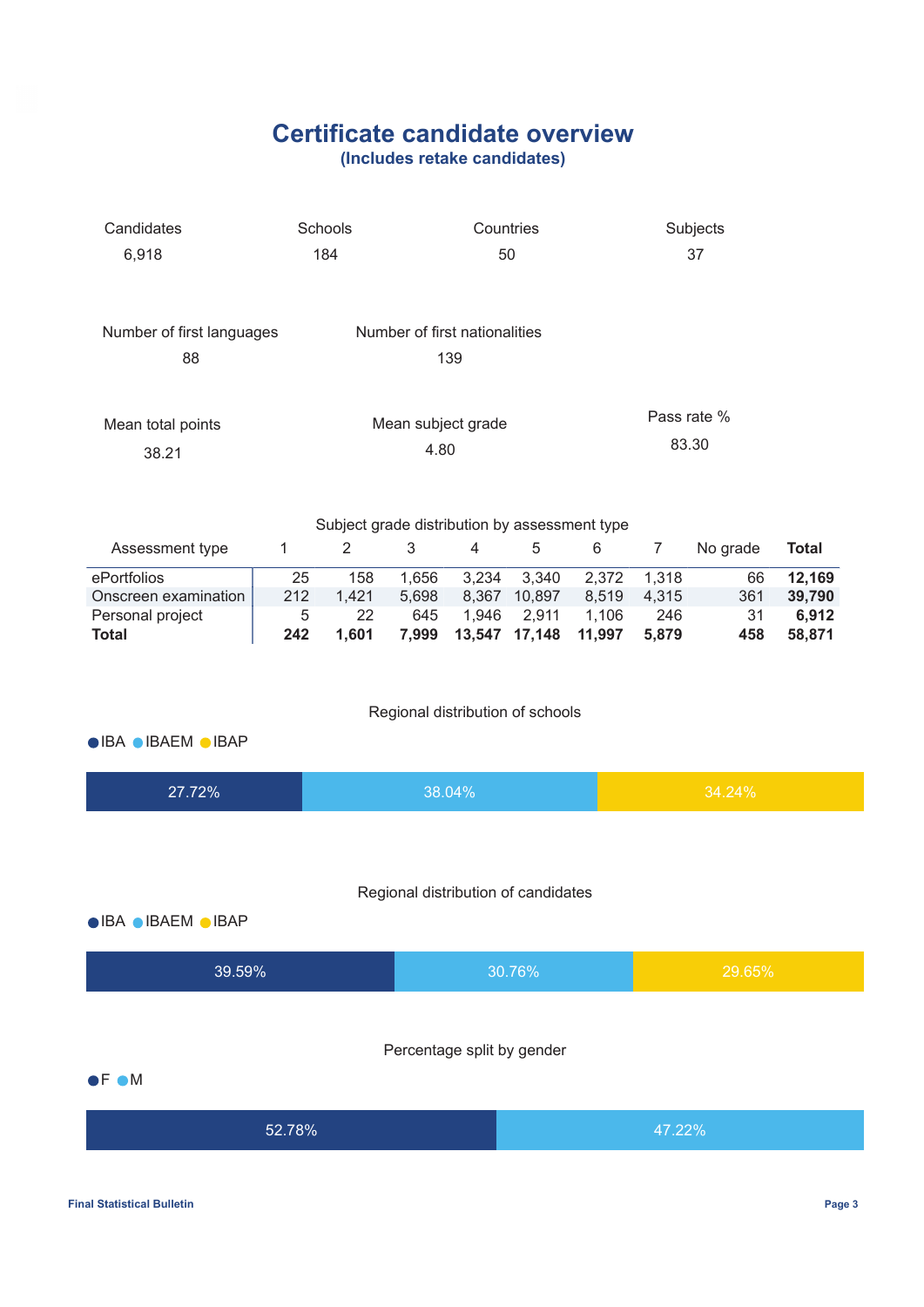## **Certificate candidate overview**

**(Includes retake candidates)**

| Candidates<br>6,918                                                     | Schools<br>Countries<br>184<br>50 |                                                                 |                                |                                                 |                                   |                                |                        | Subjects<br>37                      |  |  |
|-------------------------------------------------------------------------|-----------------------------------|-----------------------------------------------------------------|--------------------------------|-------------------------------------------------|-----------------------------------|--------------------------------|------------------------|-------------------------------------|--|--|
| Number of first languages<br>88                                         |                                   |                                                                 |                                | Number of first nationalities<br>139            |                                   |                                |                        |                                     |  |  |
| Mean total points<br>38.21                                              | Mean subject grade<br>4.80        |                                                                 |                                |                                                 |                                   |                                |                        | Pass rate %<br>83.30                |  |  |
| Assessment type                                                         | $\mathbf{1}$                      | Subject grade distribution by assessment type<br>$\overline{2}$ | 3                              | $\,6$                                           | $\overline{7}$                    | No grade                       | <b>Total</b>           |                                     |  |  |
| ePortfolios<br>Onscreen examination<br>Personal project<br><b>Total</b> | 25<br>212<br>5<br>242             | 158<br>1,421<br>22<br>1,601                                     | 1,656<br>5,698<br>645<br>7,999 | 3,234<br>8,367 10,897<br>1,946<br>13,547 17,148 | 2,372<br>8,519<br>1,106<br>11,997 | 1,318<br>4,315<br>246<br>5,879 | 66<br>361<br>31<br>458 | 12,169<br>39,790<br>6,912<br>58,871 |  |  |
| ● IBA ● IBAEM ● IBAP                                                    |                                   |                                                                 |                                | Regional distribution of schools                |                                   |                                |                        |                                     |  |  |
| 27.72%                                                                  |                                   |                                                                 |                                | 38.04%                                          |                                   |                                |                        | 34.24%                              |  |  |
| ● IBA ● IBAEM ● IBAP                                                    |                                   |                                                                 |                                | Regional distribution of candidates             |                                   |                                |                        |                                     |  |  |
| 39.59%                                                                  |                                   |                                                                 |                                |                                                 | 30.76%                            |                                |                        | 29.65%                              |  |  |
| $\bullet$ F $\bullet$ M                                                 |                                   |                                                                 |                                | Percentage split by gender                      |                                   |                                |                        |                                     |  |  |
| 52.78%                                                                  |                                   |                                                                 |                                |                                                 |                                   | 47.22%                         |                        |                                     |  |  |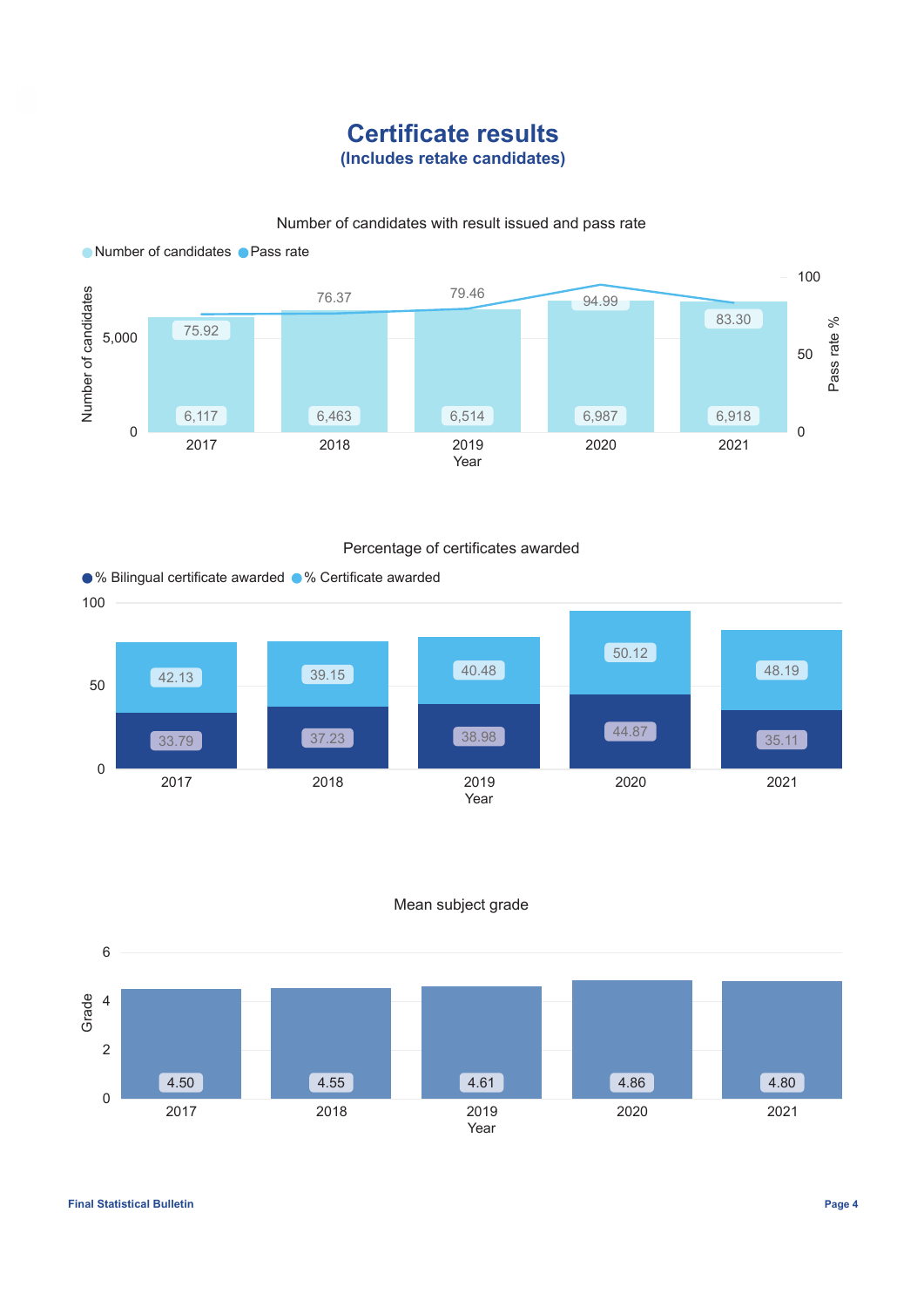### **Certificate results (Includes retake candidates)**

### Number of candidates with result issued and pass rate



### Percentage of certificates awarded





### Mean subject grade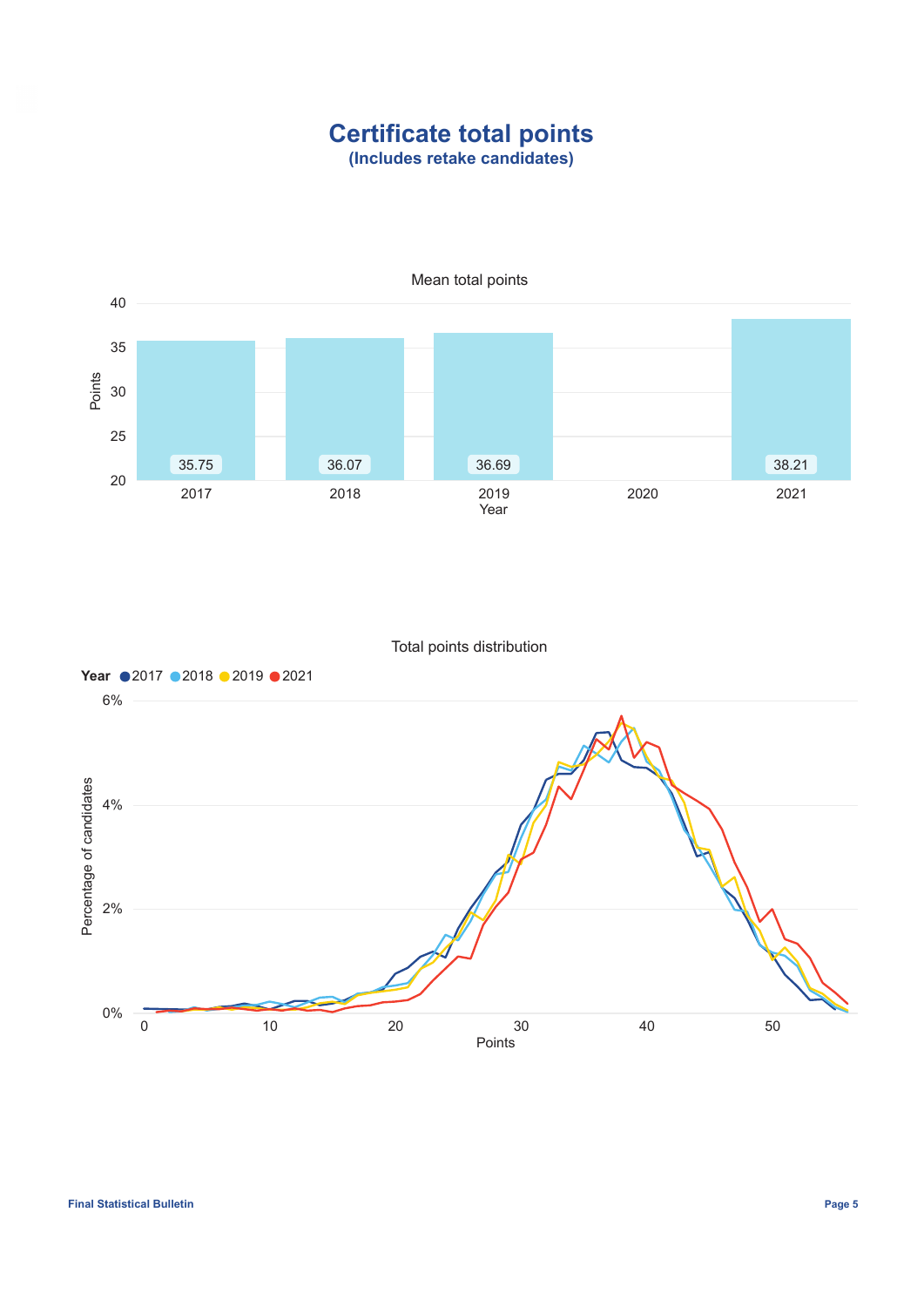### **Certificate total points (Includes retake candidates)**



Total points distribution

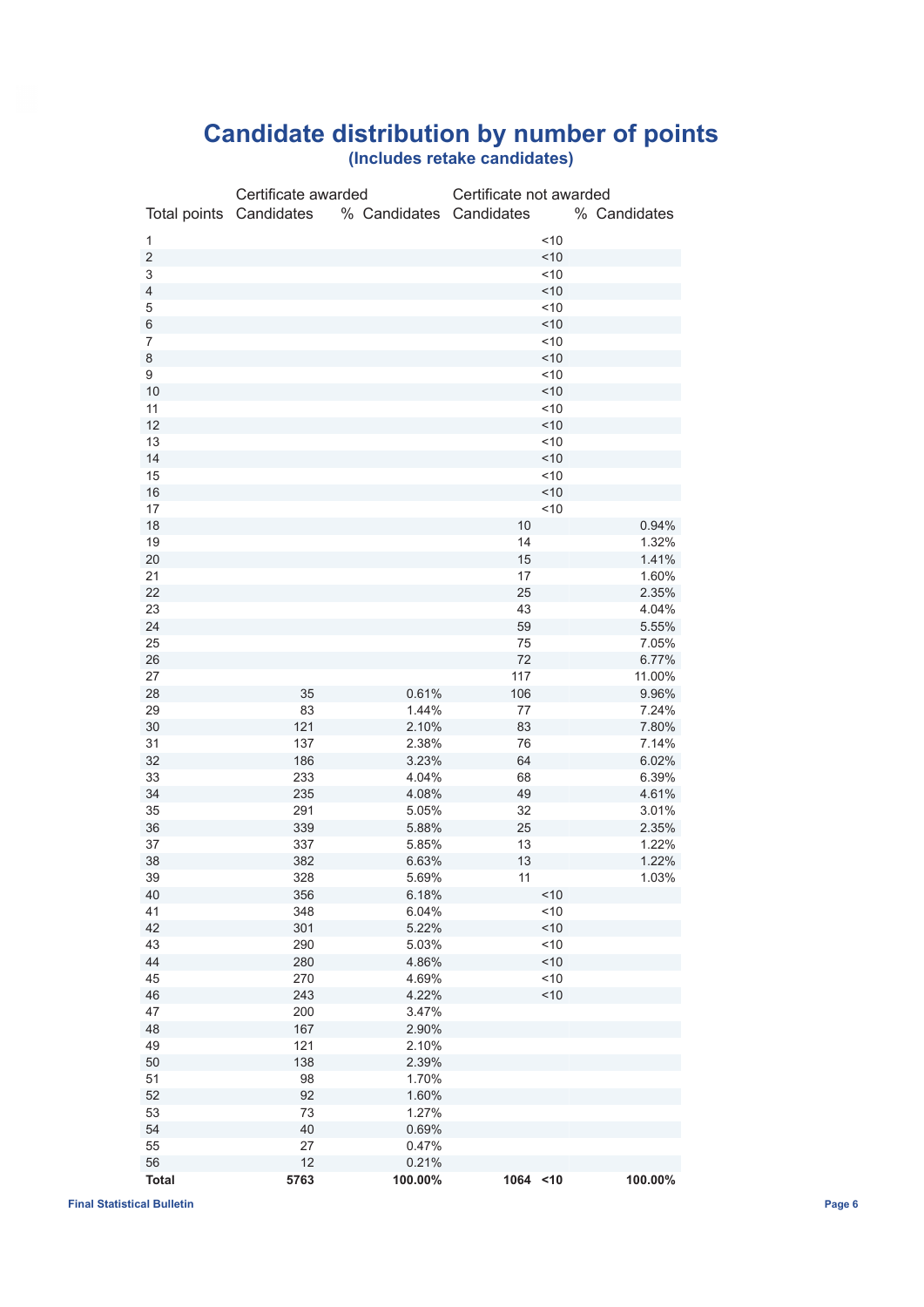## **Candidate distribution by number of points**

|  |  | (Includes retake candidates) |
|--|--|------------------------------|
|--|--|------------------------------|

|                          | Certificate awarded |                                                 | Certificate not awarded |     |              |
|--------------------------|---------------------|-------------------------------------------------|-------------------------|-----|--------------|
|                          |                     | Total points Candidates % Candidates Candidates |                         |     | % Candidates |
|                          |                     |                                                 |                         |     |              |
| 1                        |                     |                                                 |                         | ~10 |              |
| $\overline{c}$           |                     |                                                 |                         | ~10 |              |
| 3                        |                     |                                                 |                         | ~10 |              |
| $\overline{\mathcal{L}}$ |                     |                                                 |                         | ~10 |              |
| 5                        |                     |                                                 |                         | ~10 |              |
| 6                        |                     |                                                 |                         | 10  |              |
| $\overline{7}$           |                     |                                                 |                         | ~10 |              |
| 8                        |                     |                                                 |                         | ~10 |              |
| 9                        |                     |                                                 |                         | ~10 |              |
| 10                       |                     |                                                 |                         | ~10 |              |
| 11                       |                     |                                                 |                         | ~10 |              |
| 12                       |                     |                                                 |                         | ~10 |              |
| 13                       |                     |                                                 |                         | ~10 |              |
| 14                       |                     |                                                 |                         | ~10 |              |
| 15                       |                     |                                                 |                         | ~10 |              |
| 16                       |                     |                                                 |                         | 10  |              |
| 17                       |                     |                                                 |                         | ~10 |              |
| 18                       |                     |                                                 | 10                      |     | 0.94%        |
| 19                       |                     |                                                 | 14                      |     | 1.32%        |
| 20                       |                     |                                                 | 15                      |     | 1.41%        |
| 21                       |                     |                                                 | 17                      |     | 1.60%        |
| 22                       |                     |                                                 | 25                      |     | 2.35%        |
| 23                       |                     |                                                 | 43                      |     | 4.04%        |
| 24                       |                     |                                                 | 59                      |     | 5.55%        |
| 25                       |                     |                                                 | 75                      |     | 7.05%        |
| 26                       |                     |                                                 | 72                      |     | 6.77%        |
| 27                       |                     |                                                 | 117                     |     | 11.00%       |
| 28                       | 35                  | 0.61%                                           | 106                     |     | 9.96%        |
| 29                       | 83                  | 1.44%                                           | 77                      |     | 7.24%        |
| 30                       | 121                 | 2.10%                                           | 83                      |     | 7.80%        |
| 31                       | 137                 | 2.38%                                           | 76                      |     | 7.14%        |
| 32                       | 186                 | 3.23%                                           | 64                      |     | 6.02%        |
| 33                       | 233                 | 4.04%                                           | 68                      |     | 6.39%        |
| 34                       | 235                 | 4.08%                                           | 49                      |     | 4.61%        |
| 35                       | 291                 | 5.05%                                           | 32                      |     | 3.01%        |
| 36                       | 339                 | 5.88%                                           | 25                      |     | 2.35%        |
| 37                       | 337                 | 5.85%                                           | 13                      |     | 1.22%        |
| 38                       | 382                 | 6.63%                                           | 13                      |     | 1.22%        |
| 39                       | 328                 | 5.69%                                           | 11                      |     | 1.03%        |
| 40                       | 356                 | 6.18%                                           |                         | ~10 |              |
| 41                       | 348                 | 6.04%                                           |                         | 10  |              |
| 42                       | 301                 | 5.22%                                           |                         | ~10 |              |
| 43                       | 290                 | 5.03%                                           |                         | ~10 |              |
| 44                       | 280                 | 4.86%                                           |                         | ~10 |              |
| 45                       | 270                 | 4.69%                                           |                         | ~10 |              |
|                          |                     |                                                 |                         | 10  |              |
| 46                       | 243<br>200          | 4.22%                                           |                         |     |              |
| 47                       |                     | 3.47%                                           |                         |     |              |
| 48                       | 167                 | 2.90%                                           |                         |     |              |
| 49                       | 121                 | 2.10%                                           |                         |     |              |
| 50                       | 138                 | 2.39%                                           |                         |     |              |
| 51                       | 98                  | 1.70%                                           |                         |     |              |
| 52                       | 92                  | 1.60%                                           |                         |     |              |
| 53                       | 73                  | 1.27%                                           |                         |     |              |
| 54                       | 40                  | 0.69%                                           |                         |     |              |
| 55                       | 27                  | 0.47%                                           |                         |     |              |
| 56                       | 12                  | 0.21%                                           |                         |     |              |
| <b>Total</b>             | 5763                | 100.00%                                         | 1064 <10                |     | 100.00%      |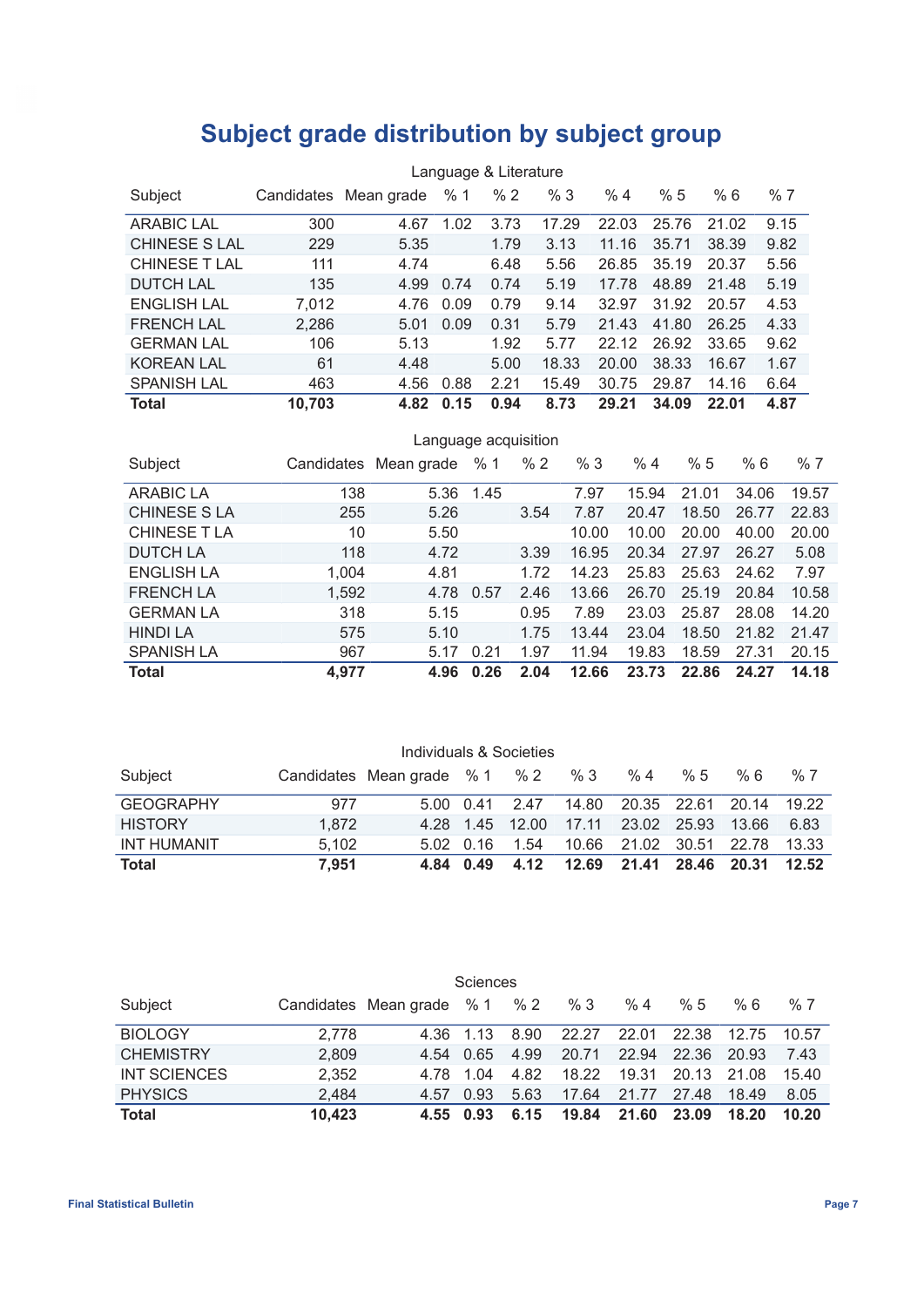## **Subject grade distribution by subject group**

|                      | Language & Literature |                       |      |      |       |       |       |       |      |  |
|----------------------|-----------------------|-----------------------|------|------|-------|-------|-------|-------|------|--|
| Subject              |                       | Candidates Mean grade | %1   | % 2  | %3    | %4    | %5    | %6    | %7   |  |
| <b>ARABIC LAL</b>    | 300                   | 4.67                  | 1.02 | 3.73 | 17.29 | 22.03 | 25.76 | 21.02 | 9.15 |  |
| <b>CHINESE S LAL</b> | 229                   | 5.35                  |      | 1.79 | 3.13  | 11.16 | 35.71 | 38.39 | 9.82 |  |
| <b>CHINESE T LAL</b> | 111                   | 4.74                  |      | 6.48 | 5.56  | 26.85 | 35.19 | 20.37 | 5.56 |  |
| <b>DUTCH LAL</b>     | 135                   | 4.99                  | 0.74 | 0.74 | 5.19  | 17.78 | 48.89 | 21.48 | 5.19 |  |
| <b>ENGLISH LAL</b>   | 7,012                 | 4.76                  | 0.09 | 0.79 | 9.14  | 32.97 | 31.92 | 20.57 | 4.53 |  |
| <b>FRENCH LAL</b>    | 2,286                 | 5.01                  | 0.09 | 0.31 | 5.79  | 21.43 | 41.80 | 26.25 | 4.33 |  |
| <b>GERMAN LAL</b>    | 106                   | 5.13                  |      | 1.92 | 5.77  | 22.12 | 26.92 | 33.65 | 9.62 |  |
| <b>KOREAN LAL</b>    | 61                    | 4.48                  |      | 5.00 | 18.33 | 20.00 | 38.33 | 16.67 | 1.67 |  |
| <b>SPANISH LAL</b>   | 463                   | 4.56                  | 0.88 | 2.21 | 15.49 | 30.75 | 29.87 | 14.16 | 6.64 |  |
| <b>Total</b>         | 10.703                | 4.82                  | 0.15 | 0.94 | 8.73  | 29.21 | 34.09 | 22.01 | 4.87 |  |

| Language acquisition |       |                       |      |      |       |       |       |       |       |
|----------------------|-------|-----------------------|------|------|-------|-------|-------|-------|-------|
| Subject              |       | Candidates Mean grade | %1   | %2   | %3    | %4    | %5    | %6    | %7    |
| <b>ARABIC LA</b>     | 138   | 5.36                  | 1.45 |      | 7.97  | 15.94 | 21.01 | 34.06 | 19.57 |
| <b>CHINESE S LA</b>  | 255   | 5.26                  |      | 3.54 | 7.87  | 20.47 | 18.50 | 26.77 | 22.83 |
| <b>CHINESE T LA</b>  | 10    | 5.50                  |      |      | 10.00 | 10.00 | 20.00 | 40.00 | 20.00 |
| <b>DUTCH LA</b>      | 118   | 4.72                  |      | 3.39 | 16.95 | 20.34 | 27.97 | 26.27 | 5.08  |
| <b>ENGLISH LA</b>    | 1,004 | 4.81                  |      | 1.72 | 14.23 | 25.83 | 25.63 | 24.62 | 7.97  |
| <b>FRENCH LA</b>     | 1,592 | 4.78                  | 0.57 | 2.46 | 13.66 | 26.70 | 25.19 | 20.84 | 10.58 |
| <b>GERMAN LA</b>     | 318   | 5.15                  |      | 0.95 | 7.89  | 23.03 | 25.87 | 28.08 | 14.20 |
| <b>HINDI LA</b>      | 575   | 5.10                  |      | 1.75 | 13.44 | 23.04 | 18.50 | 21.82 | 21.47 |
| <b>SPANISH LA</b>    | 967   | 5.17                  | 0.21 | 1.97 | 11.94 | 19.83 | 18.59 | 27.31 | 20.15 |
| <b>Total</b>         | 4.977 | 4.96                  | 0.26 | 2.04 | 12.66 | 23.73 | 22.86 | 24.27 | 14.18 |

|                    |       | Individuals & Societies       |                   |                |       |                               |             |       |       |
|--------------------|-------|-------------------------------|-------------------|----------------|-------|-------------------------------|-------------|-------|-------|
| Subject            |       | Candidates Mean grade % 1 % 2 |                   |                | % 3   | %4                            | %5          | % 6   | %7    |
| <b>GEOGRAPHY</b>   | 977   |                               |                   | 5.00 0.41 2.47 |       | 14.80 20.35 22.61 20.14 19.22 |             |       |       |
| <b>HISTORY</b>     | 1.872 |                               | 4.28 1.45         | 12.00          | 17.11 |                               | 23.02 25.93 | 13.66 | 6.83  |
| <b>INT HUMANIT</b> | 5.102 |                               | $5.02 \quad 0.16$ | 1.54           | 10.66 | 21.02                         | 30.51       | 22.78 | 13.33 |
| Total              | 7.951 |                               | 4.84 0.49         | 4.12           | 12.69 | 21.41                         | 28.46       | 20.31 | 12.52 |

|                  |        |                           | Sciences  |               |       |       |       |       |       |
|------------------|--------|---------------------------|-----------|---------------|-------|-------|-------|-------|-------|
| Subject          |        | Candidates Mean grade % 1 |           | $% 2^{\circ}$ | %3    | %4    | %5    | % 6   | %7    |
| <b>BIOLOGY</b>   | 2.778  |                           | 4.36 1.13 | 8.90          | 22.27 | 22.01 | 22.38 | 12.75 | 10.57 |
| <b>CHEMISTRY</b> | 2.809  |                           | 4.54 0.65 | 4.99          | 20.71 | 22.94 | 22.36 | 20.93 | 7.43  |
| INT SCIENCES     | 2,352  |                           | 478 104   | 4.82          | 18.22 | 19.31 | 20.13 | 21.08 | 15.40 |
| <b>PHYSICS</b>   | 2.484  | 4.57                      | 0.93      | 5.63          | 17.64 | 21.77 | 27.48 | 18.49 | 8.05  |
| <b>Total</b>     | 10,423 |                           | 4.55 0.93 | 6.15          | 19.84 | 21.60 | 23.09 | 18.20 | 10.20 |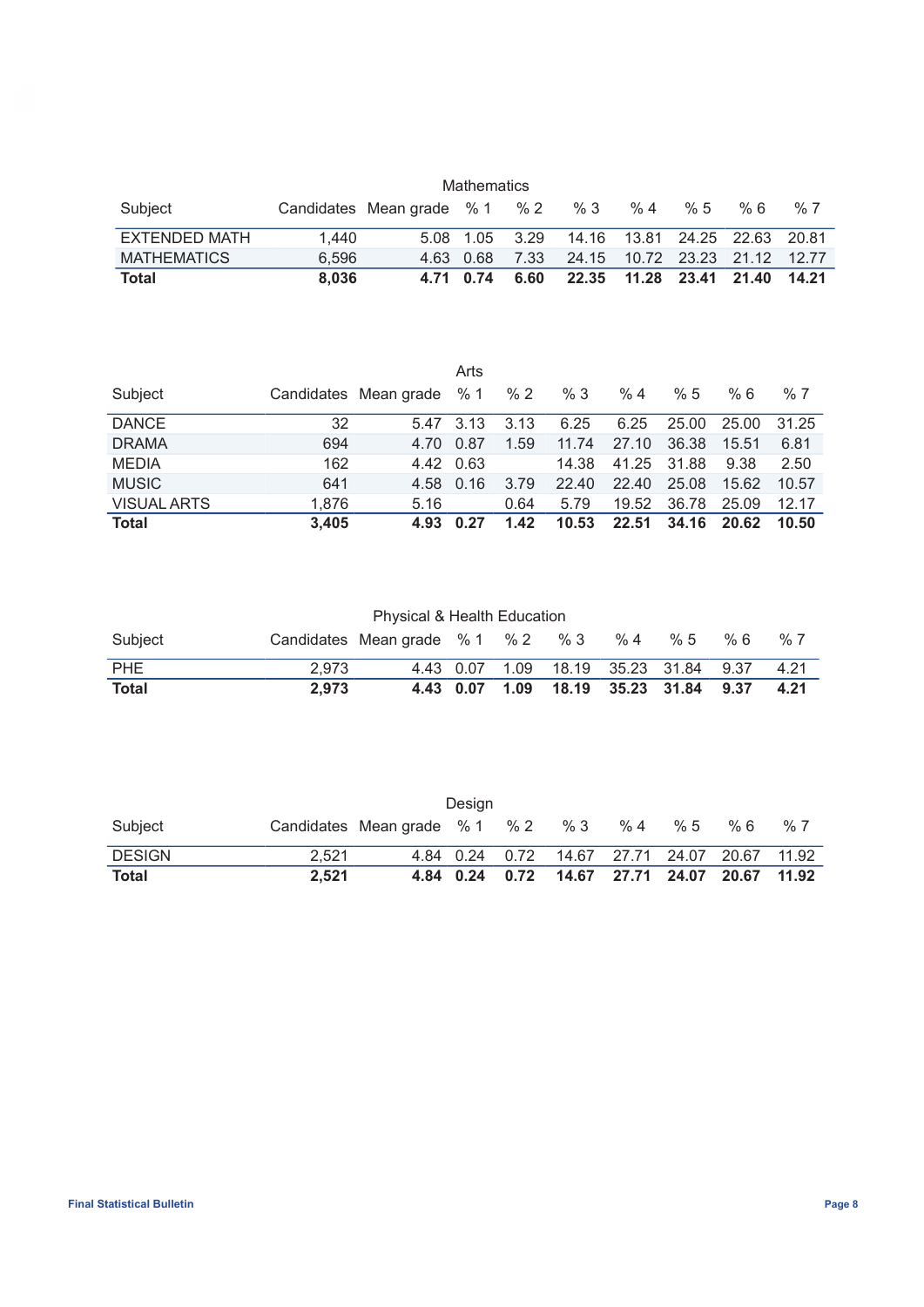| <b>Mathematics</b>   |       |                                 |                |      |                               |    |    |     |    |
|----------------------|-------|---------------------------------|----------------|------|-------------------------------|----|----|-----|----|
| Subject              |       | Candidates Mean grade $% 1$ % 2 |                |      | %3                            | %4 | %5 | % 6 | %7 |
| <b>EXTENDED MATH</b> | 1.440 |                                 | 5.08 1.05 3.29 |      | 14.16 13.81 24.25 22.63 20.81 |    |    |     |    |
| <b>MATHEMATICS</b>   | 6.596 | 4.63 0.68                       |                | 7.33 | 24.15 10.72 23.23 21.12 12.77 |    |    |     |    |
| <b>Total</b>         | 8.036 |                                 | 4.71 0.74      | 6.60 | 22.35 11.28 23.41 21.40 14.21 |    |    |     |    |

|                    |       |                           | Arts |               |       |             |       |       |       |
|--------------------|-------|---------------------------|------|---------------|-------|-------------|-------|-------|-------|
| Subject            |       | Candidates Mean grade % 1 |      | % $2^{\circ}$ | %3    | %4          | %5    | % 6   | %7    |
| <b>DANCE</b>       | 32    | 5.47 3.13                 |      | 3.13          | 6.25  | 6.25        | 25.00 | 25.00 | 31.25 |
| <b>DRAMA</b>       | 694   | 4.70                      | 0.87 | 1.59          | 11.74 | 27.10       | 36.38 | 15.51 | 6.81  |
| <b>MEDIA</b>       | 162   | 4.42 0.63                 |      |               | 14.38 | 41.25 31.88 |       | 9.38  | 2.50  |
| <b>MUSIC</b>       | 641   | 4.58                      | 0.16 | 3.79          | 22.40 | 22.40       | 25.08 | 15.62 | 10.57 |
| <b>VISUAL ARTS</b> | 1,876 | 5.16                      |      | 0.64          | 5.79  | 19.52       | 36.78 | 25.09 | 12.17 |
| <b>Total</b>       | 3,405 | 4.93                      | 0.27 | 1.42          | 10.53 | 22.51       | 34.16 | 20.62 | 10.50 |

Physical & Health Education

| Subject      |       | Candidates Mean grade %1 %2 %3 %4 %5 %6 |  |  |                                            | $\frac{9}{6}$ 7 |
|--------------|-------|-----------------------------------------|--|--|--------------------------------------------|-----------------|
| PHE          | 2.973 |                                         |  |  | 4.43 0.07 1.09 18.19 35.23 31.84 9.37 4.21 |                 |
| <b>Total</b> | 2.973 |                                         |  |  | 4.43 0.07 1.09 18.19 35.23 31.84 9.37 4.21 |                 |

|               |       |                               | Design         |                |                               |    |    |     |    |
|---------------|-------|-------------------------------|----------------|----------------|-------------------------------|----|----|-----|----|
| Subject       |       | Candidates Mean grade % 1 % 2 |                |                | %3                            | %4 | %5 | % 6 | %7 |
| <b>DESIGN</b> | 2.521 |                               | 4.84 0.24 0.72 |                | 14.67 27.71 24.07 20.67 11.92 |    |    |     |    |
| <b>Total</b>  | 2.521 |                               |                | 4.84 0.24 0.72 | 14.67 27.71 24.07 20.67 11.92 |    |    |     |    |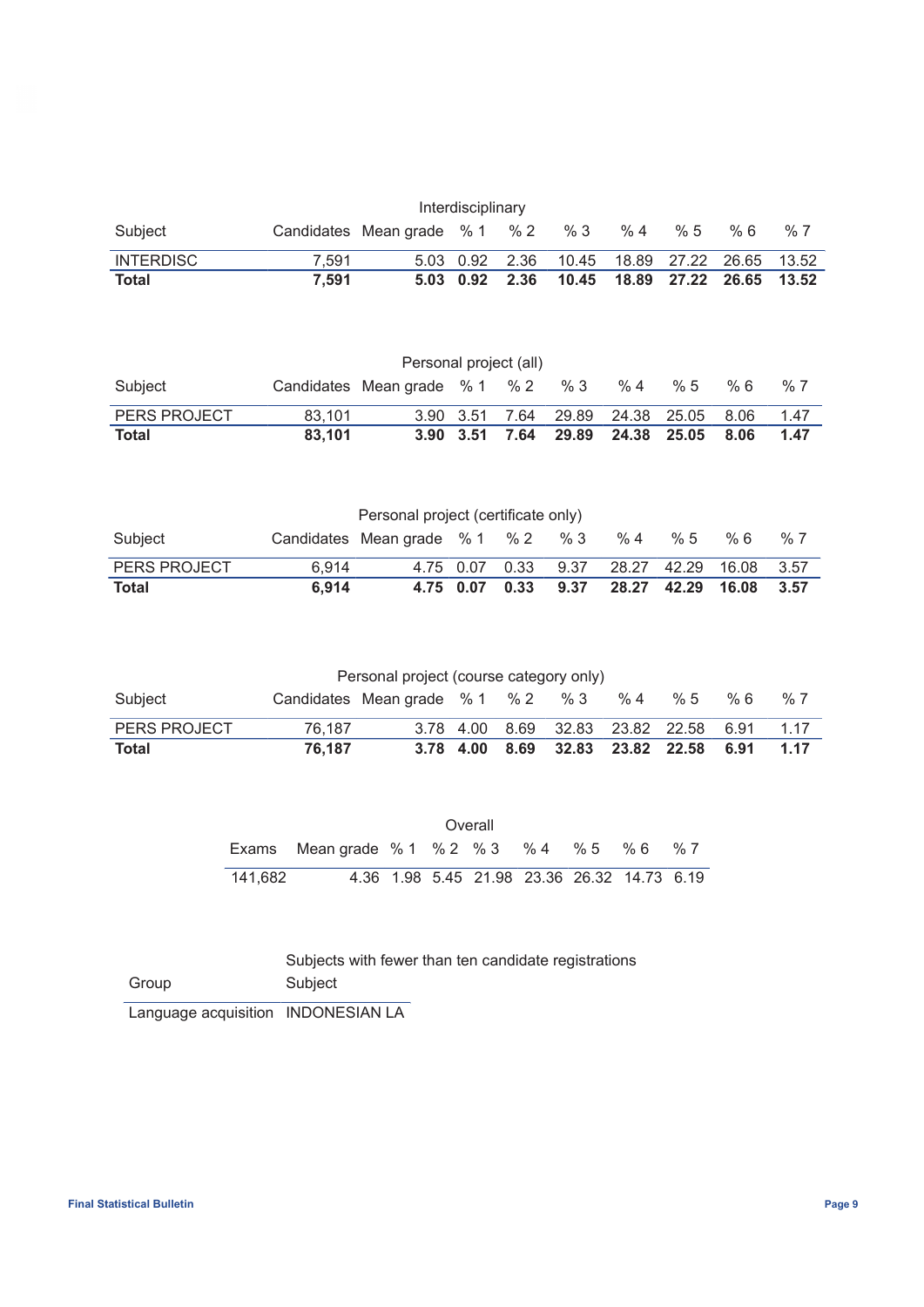| Interdisciplinary |       |                                 |                      |  |                                              |    |    |     |    |  |
|-------------------|-------|---------------------------------|----------------------|--|----------------------------------------------|----|----|-----|----|--|
| Subject           |       | Candidates Mean grade $% 1$ % 2 |                      |  | %3                                           | %4 | %5 | % 6 | %7 |  |
| INTERDISC         | 7.591 |                                 |                      |  | 5.03 0.92 2.36 10.45 18.89 27.22 26.65 13.52 |    |    |     |    |  |
| <b>Total</b>      | 7.591 |                                 | $5.03$ $0.92$ $2.36$ |  |                                              |    |    |     |    |  |

| Personal project (all) |        |                                 |               |      |       |             |     |      |      |
|------------------------|--------|---------------------------------|---------------|------|-------|-------------|-----|------|------|
| Subject                |        | Candidates Mean grade $% 1$ % 2 |               |      | %3    | %4          | % 5 | % 6  | %7   |
| PERS PROJECT           | 83.101 |                                 | 3.90 3.51     | 7.64 | 29.89 | 24.38 25.05 |     | 8.06 | 1.47 |
| <b>Total</b>           | 83.101 |                                 | $3.90$ $3.51$ | 7.64 | 29.89 | 24.38 25.05 |     | 8.06 | 1.47 |

| Personal project (certificate only) |       |                                 |                |  |      |    |    |                        |       |
|-------------------------------------|-------|---------------------------------|----------------|--|------|----|----|------------------------|-------|
| Subject                             |       | Candidates Mean grade $% 1$ % 2 |                |  | % 3  | %4 | %5 | % 6                    | %7    |
| <b>PERS PROJECT</b>                 | 6.914 |                                 | 4.75 0.07 0.33 |  | 9.37 |    |    | 28.27 42.29 16.08 3.57 |       |
| Total                               | 6.914 |                                 | 4.75 0.07 0.33 |  | 9.37 |    |    | 28.27 42.29 16.08      | -3.57 |

|  | Personal project (course category only) |  |       |  |
|--|-----------------------------------------|--|-------|--|
|  | $Condidation$ Mean arade $0/4$ $0/2$    |  | _0/_2 |  |

| Subject             |        | Candidates Mean grade $%1$ $%2$ $%3$ $%4$ $%5$ |  |                                            |  | % 6 | % 7 |
|---------------------|--------|------------------------------------------------|--|--------------------------------------------|--|-----|-----|
| <b>PERS PROJECT</b> | 76.187 |                                                |  | 3.78 4.00 8.69 32.83 23.82 22.58 6.91 1.17 |  |     |     |
| Total               | 76.187 |                                                |  | 3.78 4.00 8.69 32.83 23.82 22.58 6.91 1.17 |  |     |     |

|         |                                          |  | Overall                                     |  |    |
|---------|------------------------------------------|--|---------------------------------------------|--|----|
|         | Exams Mean grade % 1 % 2 % 3 % 4 % 5 % 6 |  |                                             |  | %7 |
| 141.682 |                                          |  | 4.36 1.98 5.45 21.98 23.36 26.32 14.73 6.19 |  |    |

| Group | Subject |
|-------|---------|
|-------|---------|

Language acquisition INDONESIAN LA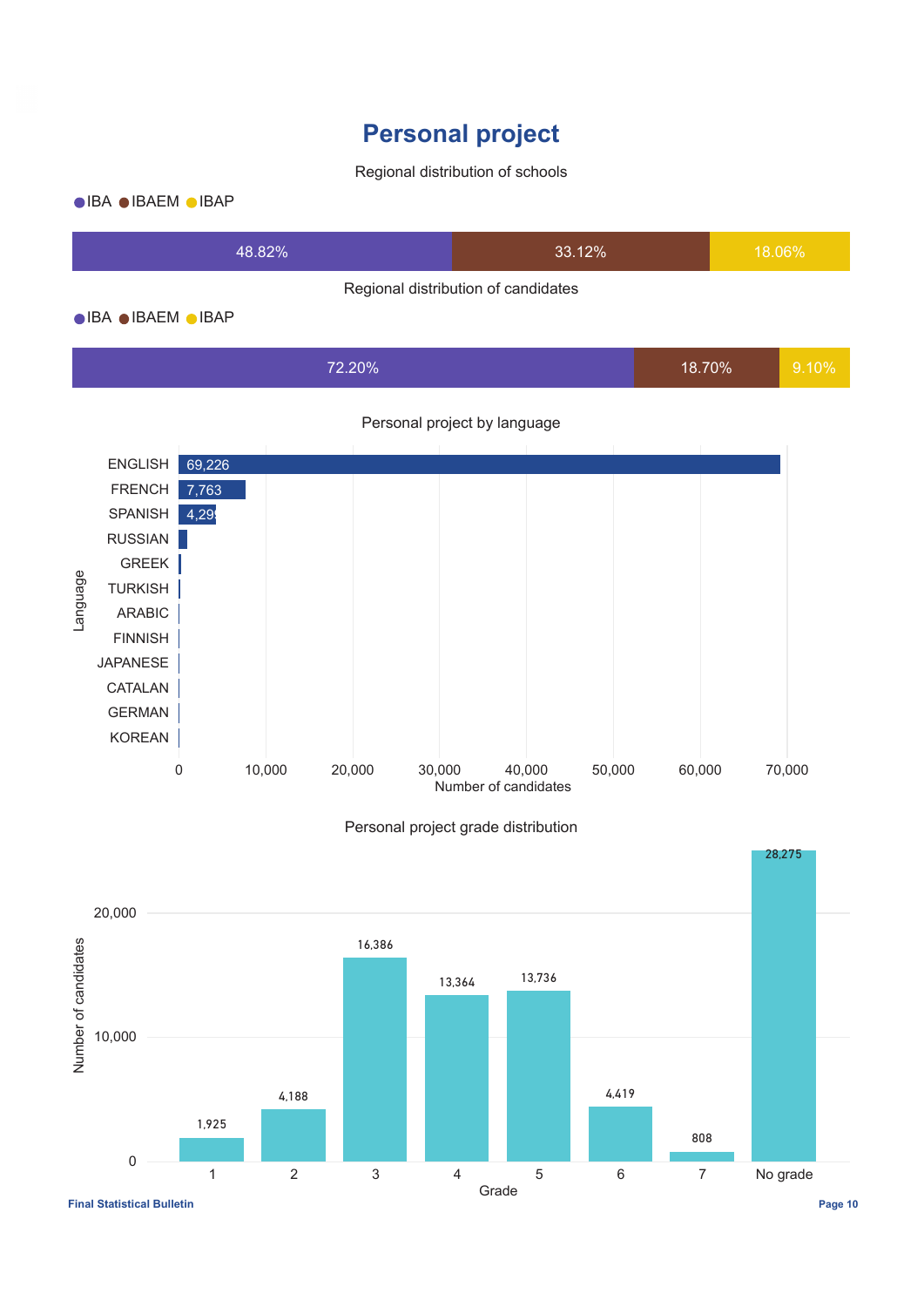## **Personal project**

### Regional distribution of schools

### $\bullet$ IBA $\bullet$ IBAEM  $\bullet$ IBAP

| 48 82%                              | 33.12% | 18.06% |  |  |
|-------------------------------------|--------|--------|--|--|
| Regional distribution of candidates |        |        |  |  |

### $\bullet$ IBA $\bullet$ IBAEM  $\bullet$ IBAP

| 72.20% | 18.70% | 9.10% |
|--------|--------|-------|
|        |        |       |





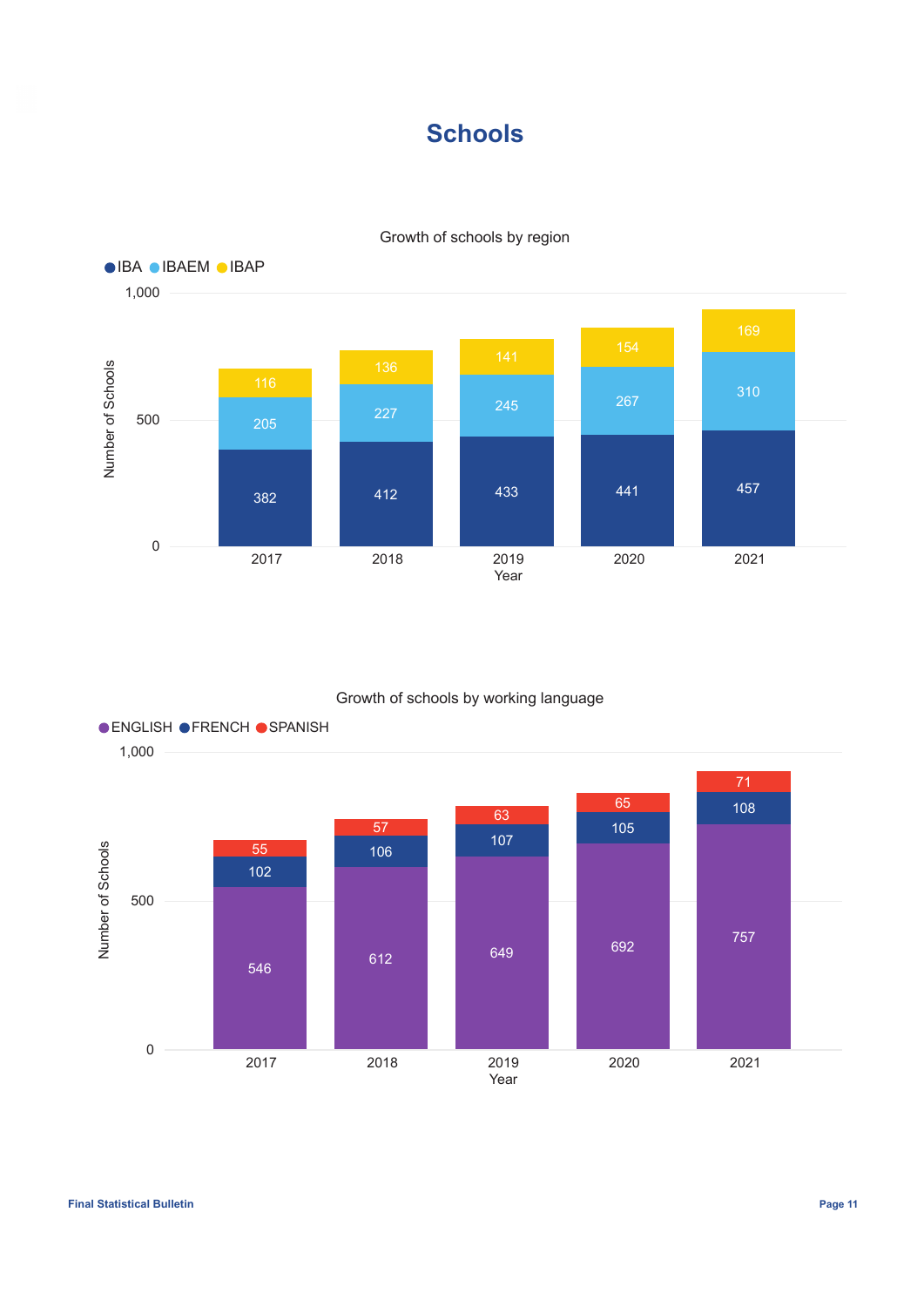## **Schools**



### Growth of schools by region

### Growth of schools by working language

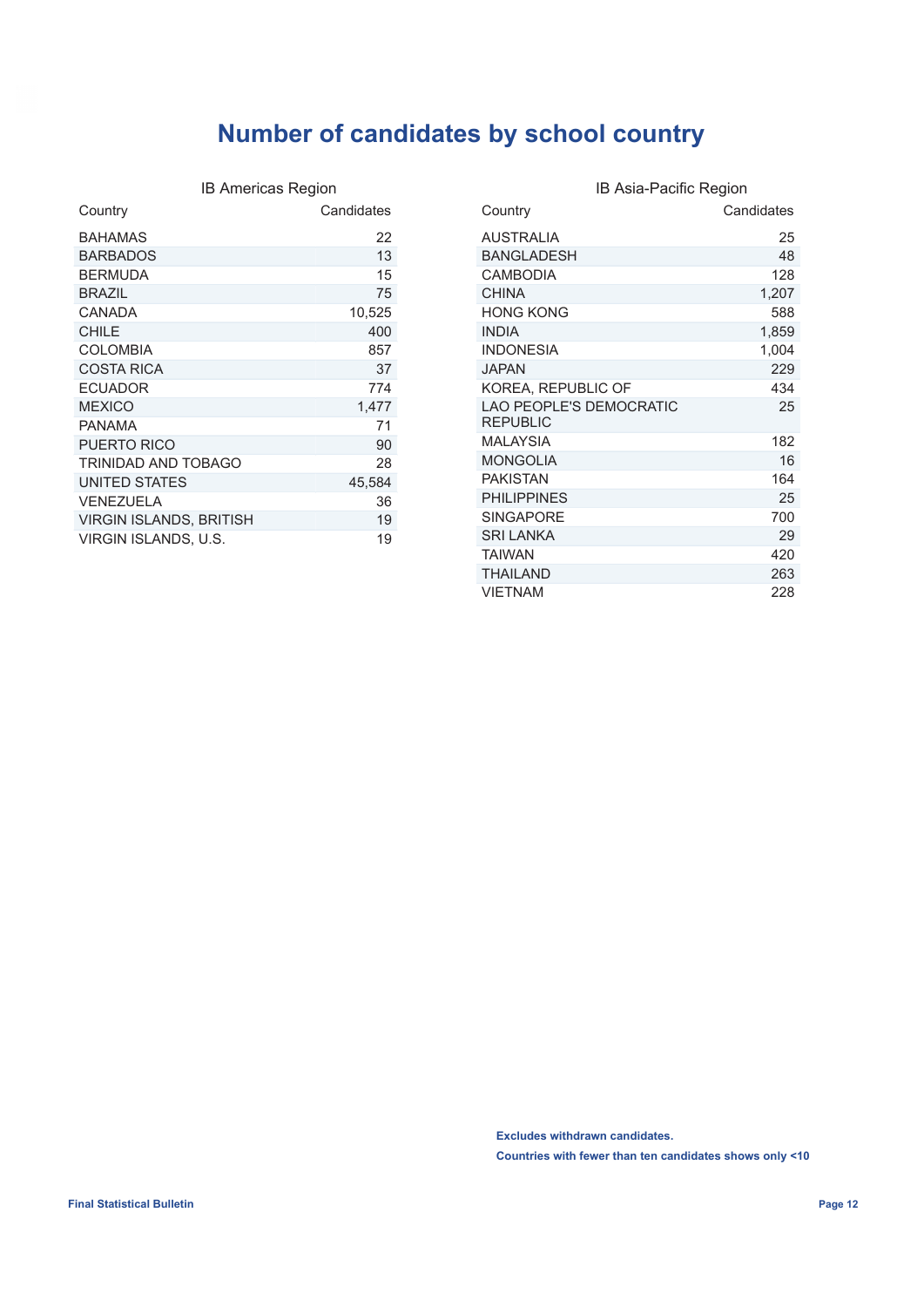## **Number of candidates by school country**

| IB Americas Region             |            |
|--------------------------------|------------|
| Country                        | Candidates |
| BAHAMAS                        | 22         |
| <b>BARBADOS</b>                | 13         |
| <b>BERMUDA</b>                 | 15         |
| <b>BRAZIL</b>                  | 75         |
| CANADA                         | 10,525     |
| <b>CHILE</b>                   | 400        |
| <b>COLOMBIA</b>                | 857        |
| <b>COSTA RICA</b>              | 37         |
| <b>ECUADOR</b>                 | 774        |
| <b>MEXICO</b>                  | 1,477      |
| <b>PANAMA</b>                  | 71         |
| PUERTO RICO                    | 90         |
| TRINIDAD AND TOBAGO            | 28         |
| UNITED STATES                  | 45,584     |
| VENEZUELA                      | 36         |
| <b>VIRGIN ISLANDS, BRITISH</b> | 19         |
| VIRGIN ISLANDS, U.S.           | 19         |

|                                                   | IB Asia-Pacific Region |
|---------------------------------------------------|------------------------|
| Country                                           | Candidates             |
| <b>AUSTRALIA</b>                                  | 25                     |
| <b>BANGLADESH</b>                                 | 48                     |
| <b>CAMBODIA</b>                                   | 128                    |
| <b>CHINA</b>                                      | 1,207                  |
| <b>HONG KONG</b>                                  | 588                    |
| <b>INDIA</b>                                      | 1,859                  |
| <b>INDONESIA</b>                                  | 1,004                  |
| <b>JAPAN</b>                                      | 229                    |
| KOREA, REPUBLIC OF                                | 434                    |
| <b>LAO PEOPLE'S DEMOCRATIC</b><br><b>REPUBLIC</b> | 25                     |
| MAI AYSIA                                         | 182                    |
| <b>MONGOLIA</b>                                   | 16                     |
| PAKISTAN                                          | 164                    |
| <b>PHILIPPINES</b>                                | 25                     |
| <b>SINGAPORE</b>                                  | 700                    |
| <b>SRI LANKA</b>                                  | 29                     |
| <b>TAIWAN</b>                                     | 420                    |
| <b>THAILAND</b>                                   | 263                    |
| <b>VIETNAM</b>                                    | 228                    |

**Excludes withdrawn candidates. Countries with fewer than ten candidates shows only <10**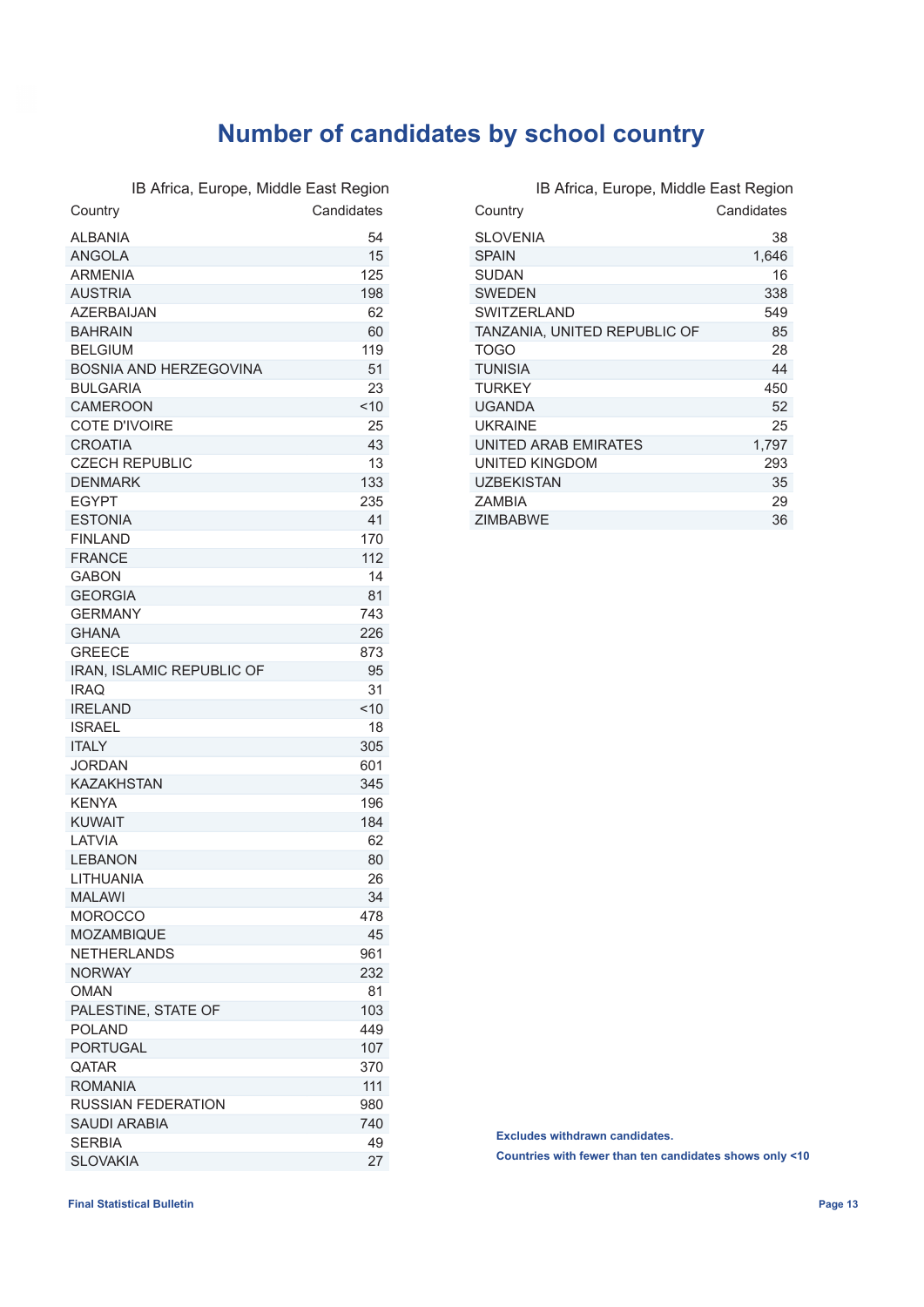## **Number of candidates by school country**

IB Africa, Europe, Middle East Region

| Country                          | Candidates |
|----------------------------------|------------|
| <b>ALBANIA</b>                   | 54         |
| <b>ANGOLA</b>                    | 15         |
| <b>ARMENIA</b>                   | 125        |
| <b>AUSTRIA</b>                   | 198        |
| <b>AZERBAIJAN</b>                | 62         |
| <b>BAHRAIN</b>                   | 60         |
| <b>BELGIUM</b>                   | 119        |
| <b>BOSNIA AND HERZEGOVINA</b>    | 51         |
| <b>BULGARIA</b>                  | 23         |
| <b>CAMEROON</b>                  | 10         |
| COTE D'IVOIRE                    | 25         |
| <b>CROATIA</b>                   | 43         |
| <b>CZECH REPUBLIC</b>            | 13         |
| <b>DENMARK</b>                   | 133        |
| <b>EGYPT</b>                     | 235        |
| <b>ESTONIA</b>                   | 41         |
| <b>FINLAND</b>                   | 170        |
| <b>FRANCE</b>                    | 112        |
| <b>GABON</b>                     | 14         |
| <b>GEORGIA</b>                   | 81         |
| <b>GERMANY</b>                   | 743        |
| <b>GHANA</b>                     | 226        |
| <b>GREECE</b>                    | 873        |
| <b>IRAN. ISLAMIC REPUBLIC OF</b> | 95         |
| <b>IRAQ</b>                      | 31         |
| <b>IRELAND</b>                   | < 10       |
| <b>ISRAEL</b>                    | 18         |
| <b>ITALY</b>                     | 305        |
| JORDAN                           | 601        |
| <b>KAZAKHSTAN</b>                | 345        |
| <b>KFNYA</b>                     | 196        |
| <b>KUWAIT</b>                    | 184        |
| I ATVIA                          | 62         |
| <b>LEBANON</b>                   | 80         |
| LITHUANIA                        | 26         |
| MALAWI                           | 34         |
| <b>MOROCCO</b>                   | 478        |
| <b>MOZAMBIQUE</b>                | 45         |
| <b>NETHERLANDS</b>               | 961        |
| <b>NORWAY</b>                    | 232        |
| <b>OMAN</b>                      | 81         |
| PALESTINE, STATE OF              | 103        |
| <b>POLAND</b>                    | 449        |
| <b>PORTUGAL</b>                  | 107        |
| QATAR                            | 370        |
| <b>ROMANIA</b>                   | 111        |
| <b>RUSSIAN FEDERATION</b>        | 980        |
| <b>SAUDI ARABIA</b>              | 740        |
| <b>SERBIA</b>                    | 49         |
| <b>SLOVAKIA</b>                  | 27         |

| IB Africa, Europe, Middle East Region |            |
|---------------------------------------|------------|
| Country                               | Candidates |
| <b>SLOVENIA</b>                       | 38         |
| <b>SPAIN</b>                          | 1,646      |
| <b>SUDAN</b>                          | 16         |
| <b>SWEDEN</b>                         | 338        |
| <b>SWITZERLAND</b>                    | 549        |
| TANZANIA, UNITED REPUBLIC OF          | 85         |
| <b>TOGO</b>                           | 28         |
| <b>TUNISIA</b>                        | 44         |
| <b>TURKEY</b>                         | 450        |
| <b>UGANDA</b>                         | 52         |
| <b>UKRAINF</b>                        | 25         |
| UNITED ARAB EMIRATES                  | 1,797      |
| UNITED KINGDOM                        | 293        |
| <b>UZBEKISTAN</b>                     | 35         |
| <b>7AMBIA</b>                         | 29         |
| <b>ZIMBABWE</b>                       | 36         |

**Excludes withdrawn candidates.**

**Countries with fewer than ten candidates shows only <10**